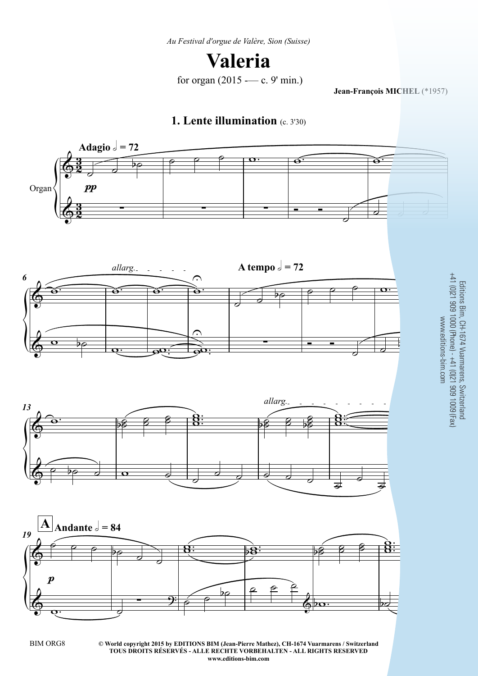*Au Festival d'orgue de Valère, Sion (Suisse)*

## **Valeria**

for organ (2015 -— c. 9' min.)

**Jean-François MICHEL** (\*1957)

## **1. Lente illumination** (c. 3'30)



BIM ORG8

**© World copyright 2015 by EDITIONS BIM (Jean-Pierre Mathez), CH-1674 Vuarmarens / SwitzerlandTOUS DROITS RÉSERVÉS - ALLE RECHTE VORBEHALTEN - ALL RIGHTS RESERVEDwww.editions-bim.com**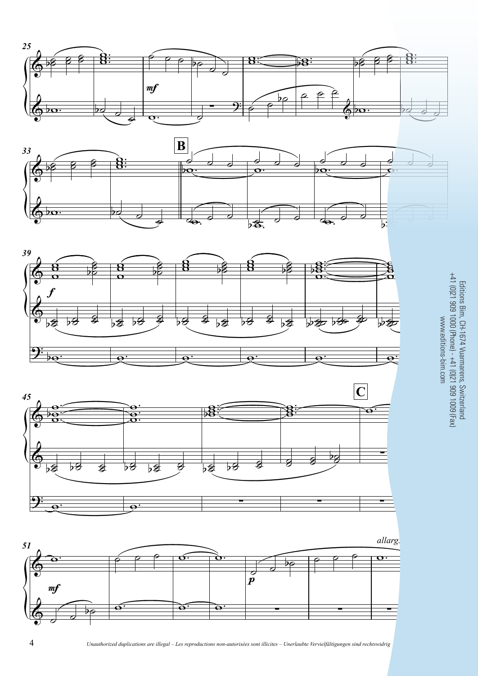









Editions Bim, CH-1674 Vuarmarens, Switzerland<br>+41 (0)21 909 1000 (Phone) - +41 (0)21 909 1009 (Fax)<br>www.editions-bim.com Editions Bim, CH-1674 Vuarmarens, Switzerland +41 (0)21 909 1000 (Phone) - +41 (0)21 909 1009 (Fax) www.editions-bim.com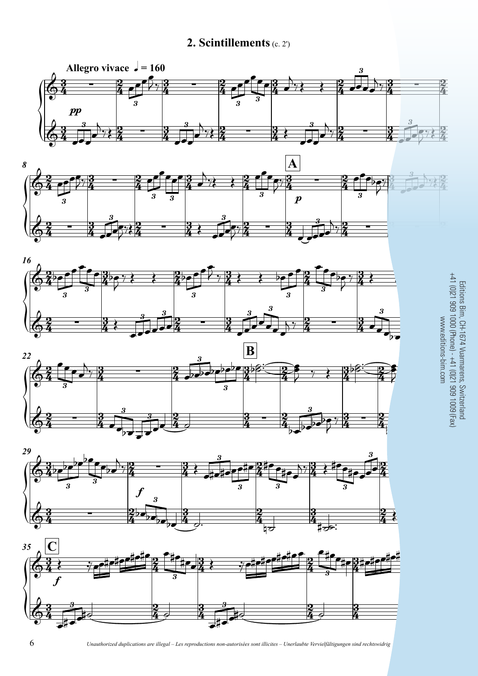

Unauthorized duplications are illegal – Les reproductions non-autorisées sont illicites – Unerlaubte Vervielfältigungen sind rechtswidrig

 $\begin{array}{c}\n\mathbb{R} \\
\mathbb{R} \\
\mathbb{R} \\
\mathbb{R}\n\end{array}$  $\begin{array}{c}\n\mathsf{NNNM}\n\\ \n\mathsf{O} & \mathsf{H}\n\\ \n\mathsf{O} & \mathsf{H}\n\\ \n\mathsf{I}\n\\ \n\mathsf{H} & \mathsf{H}\n\\ \n\mathsf{I}\n\\ \n\mathsf{H} & \mathsf{H}\n\\ \n\mathsf{I}\n\\ \n\mathsf{H} & \mathsf{H}\n\\ \n\mathsf{I}\n\\ \n\mathsf{H} & \mathsf{H}\n\\ \n\mathsf{I}\n\\ \n\mathsf{H} & \mathsf{H}\n\\ \n\mathsf{I}\n\\ \n\mathsf{H} & \mathsf{H}\n\\ \n\mathsf{$ biu<br>11 (0<br>11 (0 10021<br>(0)21<br>1.com land<br>J9 (Fa Editions Bim, CH-1674 Vuarmarens, Switzerland +41 (0)21 909 1000 (Phone) - +41 (0)21 909 1009 (Fax)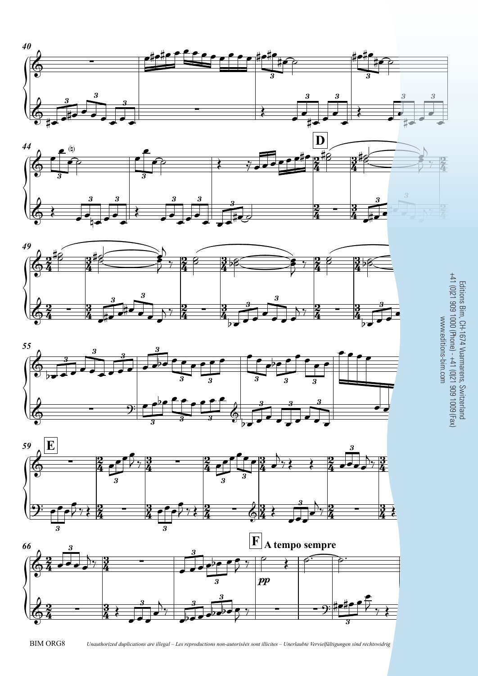









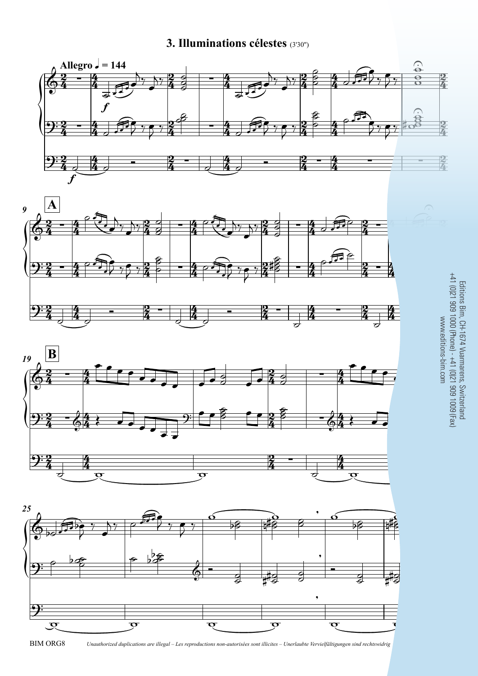## **3. Illuminations célestes** (3'30'')